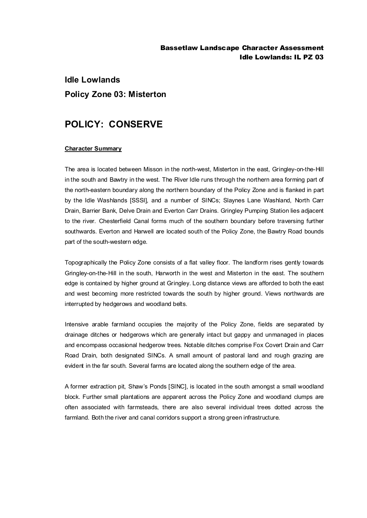### Bassetlaw Landscape Character Assessment Idle Lowlands: IL PZ 03

# **Idle Lowlands Policy Zone 03: Misterton**

## **POLICY: CONSERVE**

#### **Character Summary**

The area is located between Misson in the north-west, Misterton in the east, Gringley-on-the-Hill in the south and Bawtry in the west. The River Idle runs through the northern area forming part of the north-eastern boundary along the northern boundary of the Policy Zone and is flanked in part by the Idle Washlands [SSSI], and a number of SINCs; Slaynes Lane Washland, North Carr Drain, Barrier Bank, Delve Drain and Everton Carr Drains. Gringley Pumping Station lies adjacent to the river. Chesterfield Canal forms much of the southern boundary before traversing further southwards. Everton and Harwell are located south of the Policy Zone, the Bawtry Road bounds part of the south-western edge.

Topographically the Policy Zone consists of a flat valley floor. The landform rises gently towards Gringley-on-the-Hill in the south, Harworth in the west and Misterton in the east. The southern edge is contained by higher ground at Gringley. Long distance views are afforded to both the east and west becoming more restricted towards the south by higher ground. Views northwards are interrupted by hedgerows and woodland belts.

Intensive arable farmland occupies the majority of the Policy Zone, fields are separated by drainage ditches or hedgerows which are generally intact but gappy and unmanaged in places and encompass occasional hedgerow trees. Notable ditches comprise Fox Covert Drain and Carr Road Drain, both designated SINCs. A small amount of pastoral land and rough grazing are evident in the far south. Several farms are located along the southern edge of the area.

A former extraction pit, Shaw's Ponds [SINC], is located in the south amongst a small woodland block. Further small plantations are apparent across the Policy Zone and woodland clumps are often associated with farmsteads, there are also several individual trees dotted across the farmland. Both the river and canal corridors support a strong green infrastructure.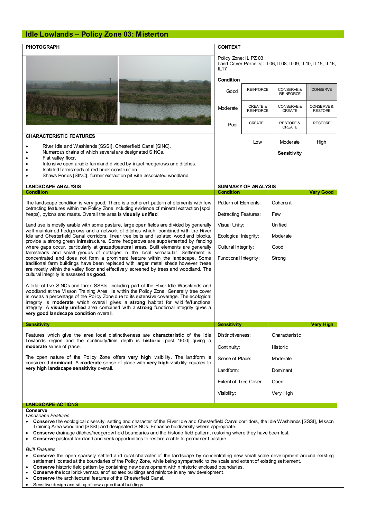### **Idle Lowlands – Policy Zone 03: Misterton**

| <b>CHARACTERISTIC FEATURES</b><br>River Idle and Washlands [SSSI], Chesterfield Canal [SINC].<br>$\bullet$<br>Numerous drains of which several are designated SINCs.<br>Flat valley floor.<br>Intensive open arable farmland divided by intact hedgerows and ditches.<br>٠<br>Isolated farmsteads of red brick construction.<br>Shaws Ponds [SINC]; former extraction pit with associated woodland.<br><b>LANDSCAPE ANALYSIS</b><br><b>Condition</b><br>The landscape condition is very good. There is a coherent pattern of elements with few<br>detracting features within the Policy Zone including evidence of mineral extraction [spoil<br>heaps], pylons and masts. Overall the area is visually unified. | Policy Zone: IL PZ 03<br>IL <sub>17</sub><br>Condition<br>Good<br>Moderate<br>Poor<br><b>Condition</b> | <b>REINFORCE</b><br><b>CREATE &amp;</b><br><b>REINFORCE</b><br>CREATE<br>Low<br><b>SUMMARY OF ANALYSIS</b> | Land Cover Parcel[s]: IL06, IL08, IL09, IL10, IL15, IL16,<br>CONSERVE &<br><b>REINFORCE</b><br>CONSERVE &<br>CREATE<br><b>RESTORE &amp;</b><br>CREATE<br>Moderate<br>Sensitivity | <b>CONSERVE</b><br>CONSERVE &<br><b>RESTORE</b><br><b>RESTORE</b><br>High |
|-----------------------------------------------------------------------------------------------------------------------------------------------------------------------------------------------------------------------------------------------------------------------------------------------------------------------------------------------------------------------------------------------------------------------------------------------------------------------------------------------------------------------------------------------------------------------------------------------------------------------------------------------------------------------------------------------------------------|--------------------------------------------------------------------------------------------------------|------------------------------------------------------------------------------------------------------------|----------------------------------------------------------------------------------------------------------------------------------------------------------------------------------|---------------------------------------------------------------------------|
|                                                                                                                                                                                                                                                                                                                                                                                                                                                                                                                                                                                                                                                                                                                 |                                                                                                        |                                                                                                            |                                                                                                                                                                                  |                                                                           |
|                                                                                                                                                                                                                                                                                                                                                                                                                                                                                                                                                                                                                                                                                                                 |                                                                                                        |                                                                                                            |                                                                                                                                                                                  |                                                                           |
|                                                                                                                                                                                                                                                                                                                                                                                                                                                                                                                                                                                                                                                                                                                 |                                                                                                        |                                                                                                            |                                                                                                                                                                                  |                                                                           |
|                                                                                                                                                                                                                                                                                                                                                                                                                                                                                                                                                                                                                                                                                                                 |                                                                                                        |                                                                                                            |                                                                                                                                                                                  |                                                                           |
|                                                                                                                                                                                                                                                                                                                                                                                                                                                                                                                                                                                                                                                                                                                 |                                                                                                        |                                                                                                            |                                                                                                                                                                                  |                                                                           |
|                                                                                                                                                                                                                                                                                                                                                                                                                                                                                                                                                                                                                                                                                                                 |                                                                                                        |                                                                                                            |                                                                                                                                                                                  |                                                                           |
|                                                                                                                                                                                                                                                                                                                                                                                                                                                                                                                                                                                                                                                                                                                 |                                                                                                        |                                                                                                            |                                                                                                                                                                                  |                                                                           |
|                                                                                                                                                                                                                                                                                                                                                                                                                                                                                                                                                                                                                                                                                                                 |                                                                                                        |                                                                                                            |                                                                                                                                                                                  |                                                                           |
|                                                                                                                                                                                                                                                                                                                                                                                                                                                                                                                                                                                                                                                                                                                 |                                                                                                        |                                                                                                            |                                                                                                                                                                                  |                                                                           |
|                                                                                                                                                                                                                                                                                                                                                                                                                                                                                                                                                                                                                                                                                                                 |                                                                                                        |                                                                                                            |                                                                                                                                                                                  | <b>Very Good</b>                                                          |
|                                                                                                                                                                                                                                                                                                                                                                                                                                                                                                                                                                                                                                                                                                                 | Pattern of Elements:                                                                                   |                                                                                                            | Coherent                                                                                                                                                                         |                                                                           |
|                                                                                                                                                                                                                                                                                                                                                                                                                                                                                                                                                                                                                                                                                                                 | Detracting Features:                                                                                   |                                                                                                            | Few                                                                                                                                                                              |                                                                           |
| Land use is mostly arable with some pasture, large open fields are divided by generally                                                                                                                                                                                                                                                                                                                                                                                                                                                                                                                                                                                                                         | Visual Unity:<br>Unified                                                                               |                                                                                                            |                                                                                                                                                                                  |                                                                           |
| well maintained hedgerows and a network of ditches which, combined with the River<br>Idle and Chesterfield Canal corridors, linear tree belts and isolated woodland blocks,                                                                                                                                                                                                                                                                                                                                                                                                                                                                                                                                     | Ecological Integrity:                                                                                  |                                                                                                            | Moderate                                                                                                                                                                         |                                                                           |
| provide a strong green infrastructure. Some hedgerows are supplemented by fencing<br>where gaps occur, particularly at grazed/pastoral areas. Built elements are generally                                                                                                                                                                                                                                                                                                                                                                                                                                                                                                                                      | Good<br>Cultural Integrity:                                                                            |                                                                                                            |                                                                                                                                                                                  |                                                                           |
| farmsteads and small groups of cottages in the local vernacular. Settlement is                                                                                                                                                                                                                                                                                                                                                                                                                                                                                                                                                                                                                                  |                                                                                                        |                                                                                                            |                                                                                                                                                                                  |                                                                           |
| concentrated and does not form a prominent feature within the landscape. Some<br>traditional farm buildings have been replaced with larger metal sheds however these<br>are mostly within the valley floor and effectively screened by trees and woodland. The<br>cultural integrity is assessed as good.                                                                                                                                                                                                                                                                                                                                                                                                       | Functional Integrity:                                                                                  |                                                                                                            | Strong                                                                                                                                                                           |                                                                           |
| A total of five SINCs and three SSSIs, including part of the River Idle Washlands and<br>woodland at the Misson Training Area, lie within the Policy Zone. Generally tree cover<br>is low as a percentage of the Policy Zone due to its extensive coverage. The ecological<br>integrity is moderate which overall gives a strong habitat for wildlife/functional<br>integrity. A visually unified area combined with a strong functional integrity gives a<br>very good landscape condition overall.                                                                                                                                                                                                            |                                                                                                        |                                                                                                            |                                                                                                                                                                                  |                                                                           |
| <b>Sensitivity</b>                                                                                                                                                                                                                                                                                                                                                                                                                                                                                                                                                                                                                                                                                              | Sensitivity                                                                                            |                                                                                                            |                                                                                                                                                                                  | Very High                                                                 |
| Features which give the area local distinctiveness are characteristic of the Idle<br>Lowlands region and the continuity/time depth is historic [post 1600] giving a<br>moderate sense of place.                                                                                                                                                                                                                                                                                                                                                                                                                                                                                                                 | Distinctiveness:                                                                                       |                                                                                                            | Characteristic                                                                                                                                                                   |                                                                           |
|                                                                                                                                                                                                                                                                                                                                                                                                                                                                                                                                                                                                                                                                                                                 | Continuity:                                                                                            |                                                                                                            | Historic                                                                                                                                                                         |                                                                           |
| The open nature of the Policy Zone offers very high visibility. The landform is<br>considered dominant. A moderate sense of place with very high visibility equates to<br>very high landscape sensitivity overall.                                                                                                                                                                                                                                                                                                                                                                                                                                                                                              | Sense of Place:                                                                                        |                                                                                                            | Moderate                                                                                                                                                                         |                                                                           |
|                                                                                                                                                                                                                                                                                                                                                                                                                                                                                                                                                                                                                                                                                                                 | Landform:                                                                                              |                                                                                                            | Dominant                                                                                                                                                                         |                                                                           |
|                                                                                                                                                                                                                                                                                                                                                                                                                                                                                                                                                                                                                                                                                                                 | <b>Extent of Tree Cover</b>                                                                            |                                                                                                            | Open                                                                                                                                                                             |                                                                           |
|                                                                                                                                                                                                                                                                                                                                                                                                                                                                                                                                                                                                                                                                                                                 | Visibility:                                                                                            |                                                                                                            | Very High                                                                                                                                                                        |                                                                           |
| <b>LANDSCAPE ACTIONS</b>                                                                                                                                                                                                                                                                                                                                                                                                                                                                                                                                                                                                                                                                                        |                                                                                                        |                                                                                                            |                                                                                                                                                                                  |                                                                           |
| Conserve                                                                                                                                                                                                                                                                                                                                                                                                                                                                                                                                                                                                                                                                                                        |                                                                                                        |                                                                                                            |                                                                                                                                                                                  |                                                                           |
| Landscape Features<br>Conserve the ecological diversity, setting and character of the River Idle and Chesterfield Canal corridors, the Idle Washlands [SSSI], Misson<br>$\bullet$                                                                                                                                                                                                                                                                                                                                                                                                                                                                                                                               |                                                                                                        |                                                                                                            |                                                                                                                                                                                  |                                                                           |

- Training Area woodland [SSSI] and designated SINCs. Enhance biodiversity where appropriate.
- · **Conserve** drainage ditches**/**hedgerow field boundaries and the historic field pattern, restoring where they have been lost.
- · **Conserve** pastoral farmland and seek opportunities to restore arable to permanent pasture.

#### *Built Features*

- · **Conserve** the open sparsely settled and rural character of the landscape by concentrating new small scale development around existing settlement located at the boundaries of the Policy Zone, while being sympathetic to the scale and extent of existing settlement.
- · **Conserve** historic field pattern by containing new development within historic enclosed boundaries.
- · **Conserve** the local brick vernacular of isolated buildings and reinforce in any new development.
- · **Conserve** the architectural features of the Chesterfield Canal.
- Sensitive design and siting of new agricultural buildings